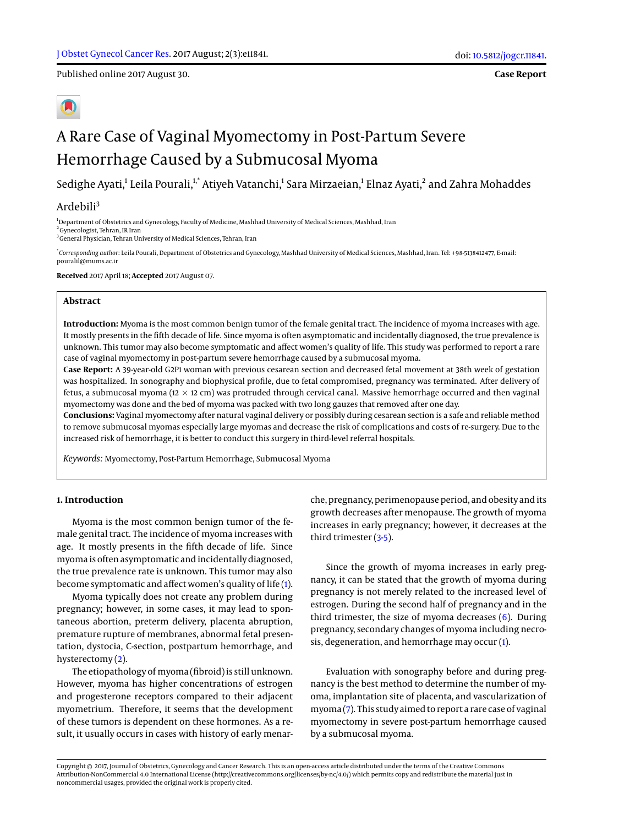Published online 2017 August 30.

**Case Report**

# A Rare Case of Vaginal Myomectomy in Post-Partum Severe Hemorrhage Caused by a Submucosal Myoma

Sedighe Ayati,<sup>1</sup> Leila Pourali,<sup>1,\*</sup> Atiyeh Vatanchi,<sup>1</sup> Sara Mirzaeian,<sup>1</sup> Elnaz Ayati,<sup>2</sup> and Zahra Mohaddes

# Ardebili<sup>3</sup>

<sup>1</sup>Department of Obstetrics and Gynecology, Faculty of Medicine, Mashhad University of Medical Sciences, Mashhad, Iran <sup>2</sup> Gynecologist, Tehran, IR Iran

<sup>3</sup> General Physician, Tehran University of Medical Sciences, Tehran, Iran

\* *Corresponding author*: Leila Pourali, Department of Obstetrics and Gynecology, Mashhad University of Medical Sciences, Mashhad, Iran. Tel: +98-5138412477, E-mail: pouralil@mums.ac.ir

**Received** 2017 April 18; **Accepted** 2017 August 07.

## **Abstract**

**Introduction:** Myoma is the most common benign tumor of the female genital tract. The incidence of myoma increases with age. It mostly presents in the fifth decade of life. Since myoma is often asymptomatic and incidentally diagnosed, the true prevalence is unknown. This tumor may also become symptomatic and affect women's quality of life. This study was performed to report a rare case of vaginal myomectomy in post-partum severe hemorrhage caused by a submucosal myoma.

**Case Report:** A 39-year-old G2P1 woman with previous cesarean section and decreased fetal movement at 38th week of gestation was hospitalized. In sonography and biophysical profile, due to fetal compromised, pregnancy was terminated. After delivery of fetus, a submucosal myoma (12  $\times$  12 cm) was protruded through cervical canal. Massive hemorrhage occurred and then vaginal myomectomy was done and the bed of myoma was packed with two long gauzes that removed after one day.

**Conclusions:** Vaginal myomectomy after natural vaginal delivery or possibly during cesarean section is a safe and reliable method to remove submucosal myomas especially large myomas and decrease the risk of complications and costs of re-surgery. Due to the increased risk of hemorrhage, it is better to conduct this surgery in third-level referral hospitals.

*Keywords:* Myomectomy, Post-Partum Hemorrhage, Submucosal Myoma

#### **1. Introduction**

Myoma is the most common benign tumor of the female genital tract. The incidence of myoma increases with age. It mostly presents in the fifth decade of life. Since myoma is often asymptomatic and incidentally diagnosed, the true prevalence rate is unknown. This tumor may also become symptomatic and affect women's quality of life [\(1\)](#page-2-0).

Myoma typically does not create any problem during pregnancy; however, in some cases, it may lead to spontaneous abortion, preterm delivery, placenta abruption, premature rupture of membranes, abnormal fetal presentation, dystocia, C-section, postpartum hemorrhage, and hysterectomy [\(2\)](#page-2-1).

The etiopathology of myoma (fibroid) is still unknown. However, myoma has higher concentrations of estrogen and progesterone receptors compared to their adjacent myometrium. Therefore, it seems that the development of these tumors is dependent on these hormones. As a result, it usually occurs in cases with history of early menarche, pregnancy, perimenopause period, and obesity and its growth decreases after menopause. The growth of myoma increases in early pregnancy; however, it decreases at the third trimester [\(3](#page-2-2)[-5\)](#page-2-3).

Since the growth of myoma increases in early pregnancy, it can be stated that the growth of myoma during pregnancy is not merely related to the increased level of estrogen. During the second half of pregnancy and in the third trimester, the size of myoma decreases [\(6\)](#page-2-4). During pregnancy, secondary changes of myoma including necrosis, degeneration, and hemorrhage may occur [\(1\)](#page-2-0).

Evaluation with sonography before and during pregnancy is the best method to determine the number of myoma, implantation site of placenta, and vascularization of myoma [\(7\)](#page-2-5). This study aimed to report a rare case of vaginal myomectomy in severe post-partum hemorrhage caused by a submucosal myoma.

Copyright © 2017, Journal of Obstetrics, Gynecology and Cancer Research. This is an open-access article distributed under the terms of the Creative Commons Attribution-NonCommercial 4.0 International License (http://creativecommons.org/licenses/by-nc/4.0/) which permits copy and redistribute the material just in noncommercial usages, provided the original work is properly cited.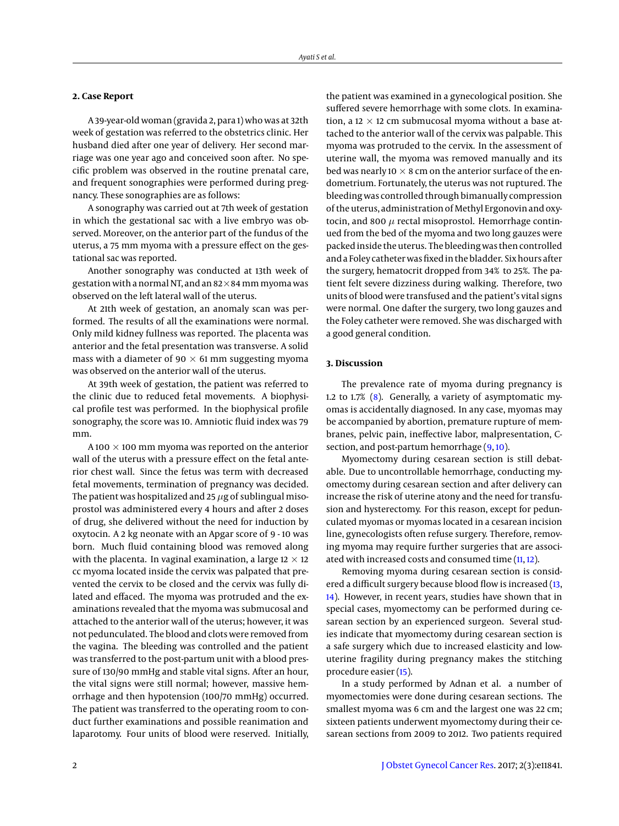#### **2. Case Report**

A 39-year-old woman (gravida 2, para 1) who was at 32th week of gestation was referred to the obstetrics clinic. Her husband died after one year of delivery. Her second marriage was one year ago and conceived soon after. No specific problem was observed in the routine prenatal care, and frequent sonographies were performed during pregnancy. These sonographies are as follows:

A sonography was carried out at 7th week of gestation in which the gestational sac with a live embryo was observed. Moreover, on the anterior part of the fundus of the uterus, a 75 mm myoma with a pressure effect on the gestational sac was reported.

Another sonography was conducted at 13th week of gestation with a normal NT, and an  $82\times84$  mm myoma was observed on the left lateral wall of the uterus.

At 21th week of gestation, an anomaly scan was performed. The results of all the examinations were normal. Only mild kidney fullness was reported. The placenta was anterior and the fetal presentation was transverse. A solid mass with a diameter of 90  $\times$  61 mm suggesting myoma was observed on the anterior wall of the uterus.

At 39th week of gestation, the patient was referred to the clinic due to reduced fetal movements. A biophysical profile test was performed. In the biophysical profile sonography, the score was 10. Amniotic fluid index was 79 mm.

A 100  $\times$  100 mm myoma was reported on the anterior wall of the uterus with a pressure effect on the fetal anterior chest wall. Since the fetus was term with decreased fetal movements, termination of pregnancy was decided. The patient was hospitalized and 25  $\mu$ g of sublingual misoprostol was administered every 4 hours and after 2 doses of drug, she delivered without the need for induction by oxytocin. A 2 kg neonate with an Apgar score of 9 - 10 was born. Much fluid containing blood was removed along with the placenta. In vaginal examination, a large 12  $\times$  12 cc myoma located inside the cervix was palpated that prevented the cervix to be closed and the cervix was fully dilated and effaced. The myoma was protruded and the examinations revealed that the myoma was submucosal and attached to the anterior wall of the uterus; however, it was not pedunculated. The blood and clots were removed from the vagina. The bleeding was controlled and the patient was transferred to the post-partum unit with a blood pressure of 130/90 mmHg and stable vital signs. After an hour, the vital signs were still normal; however, massive hemorrhage and then hypotension (100/70 mmHg) occurred. The patient was transferred to the operating room to conduct further examinations and possible reanimation and laparotomy. Four units of blood were reserved. Initially,

the patient was examined in a gynecological position. She suffered severe hemorrhage with some clots. In examination, a 12  $\times$  12 cm submucosal myoma without a base attached to the anterior wall of the cervix was palpable. This myoma was protruded to the cervix. In the assessment of uterine wall, the myoma was removed manually and its bed was nearly 10  $\times$  8 cm on the anterior surface of the endometrium. Fortunately, the uterus was not ruptured. The bleeding was controlled through bimanually compression of the uterus, administration of Methyl Ergonovin and oxytocin, and 800  $\mu$  rectal misoprostol. Hemorrhage continued from the bed of the myoma and two long gauzes were packed inside the uterus. The bleeding was then controlled and a Foley catheter was fixed in the bladder. Six hours after the surgery, hematocrit dropped from 34% to 25%. The patient felt severe dizziness during walking. Therefore, two units of blood were transfused and the patient's vital signs were normal. One dafter the surgery, two long gauzes and the Foley catheter were removed. She was discharged with a good general condition.

### **3. Discussion**

The prevalence rate of myoma during pregnancy is 1.2 to 1.7% [\(8\)](#page-2-6). Generally, a variety of asymptomatic myomas is accidentally diagnosed. In any case, myomas may be accompanied by abortion, premature rupture of membranes, pelvic pain, ineffective labor, malpresentation, Csection, and post-partum hemorrhage  $(9, 10)$  $(9, 10)$  $(9, 10)$ .

Myomectomy during cesarean section is still debatable. Due to uncontrollable hemorrhage, conducting myomectomy during cesarean section and after delivery can increase the risk of uterine atony and the need for transfusion and hysterectomy. For this reason, except for pedunculated myomas or myomas located in a cesarean incision line, gynecologists often refuse surgery. Therefore, removing myoma may require further surgeries that are associ-ated with increased costs and consumed time [\(11,](#page-2-9) [12\)](#page-2-10).

Removing myoma during cesarean section is consid-ered a difficult surgery because blood flow is increased [\(13,](#page-2-11) [14\)](#page-2-12). However, in recent years, studies have shown that in special cases, myomectomy can be performed during cesarean section by an experienced surgeon. Several studies indicate that myomectomy during cesarean section is a safe surgery which due to increased elasticity and lowuterine fragility during pregnancy makes the stitching procedure easier [\(15\)](#page-2-13).

In a study performed by Adnan et al. a number of myomectomies were done during cesarean sections. The smallest myoma was 6 cm and the largest one was 22 cm; sixteen patients underwent myomectomy during their cesarean sections from 2009 to 2012. Two patients required